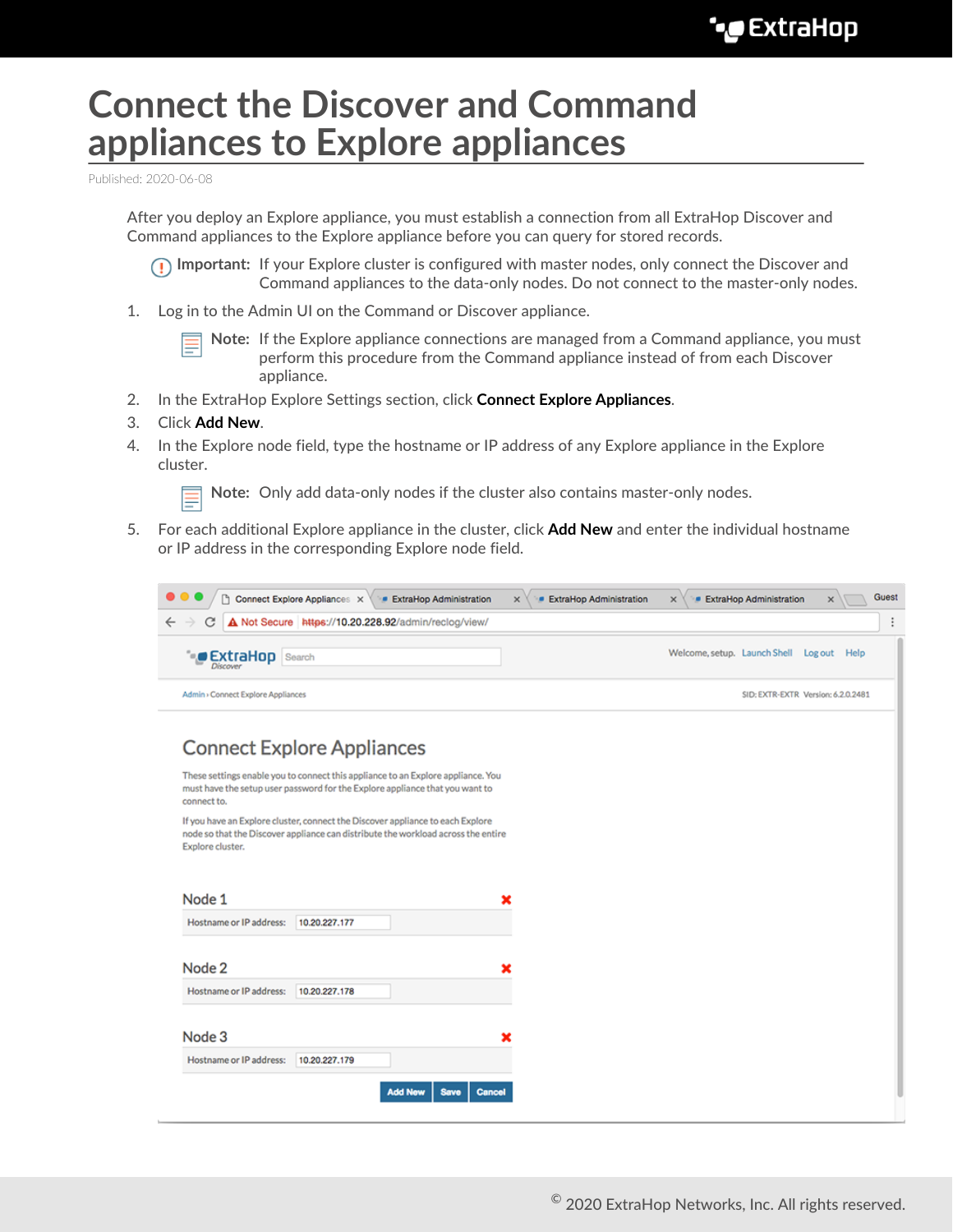## **Connect the Discover and Command appliances to Explore appliances**

Published: 2020-06-08

After you deploy an Explore appliance, you must establish a connection from all ExtraHop Discover and Command appliances to the Explore appliance before you can query for stored records.

**Important:** If your Explore cluster is configured with master nodes, only connect the Discover and Command appliances to the data-only nodes. Do not connect to the master-only nodes.

1. Log in to the Admin UI on the Command or Discover appliance.

**Note:** If the Explore appliance connections are managed from a Command appliance, you must perform this procedure from the Command appliance instead of from each Discover appliance.

- 2. In the ExtraHop Explore Settings section, click **Connect Explore Appliances**.
- 3. Click **Add New**.
- 4. In the Explore node field, type the hostname or IP address of any Explore appliance in the Explore cluster.

**Note:** Only add data-only nodes if the cluster also contains master-only nodes.

5. For each additional Explore appliance in the cluster, click **Add New** and enter the individual hostname or IP address in the corresponding Explore node field.



## **Connect Explore Appliances**

These settings enable you to connect this appliance to an Explore appliance. You must have the setup user password for the Explore appliance that you want to connect to.

If you have an Explore cluster, connect the Discover appliance to each Explore node so that the Discover appliance can distribute the workload across the entire Explore cluster.

| Node 1                  |               |                |      |        |
|-------------------------|---------------|----------------|------|--------|
| Hostname or IP address: | 10.20.227.177 |                |      |        |
| Node 2                  |               |                |      |        |
| Hostname or IP address: | 10.20.227.178 |                |      |        |
| Node 3                  |               |                |      |        |
| Hostname or IP address: | 10.20.227.179 |                |      |        |
|                         |               | <b>Add New</b> | Save | Cancel |